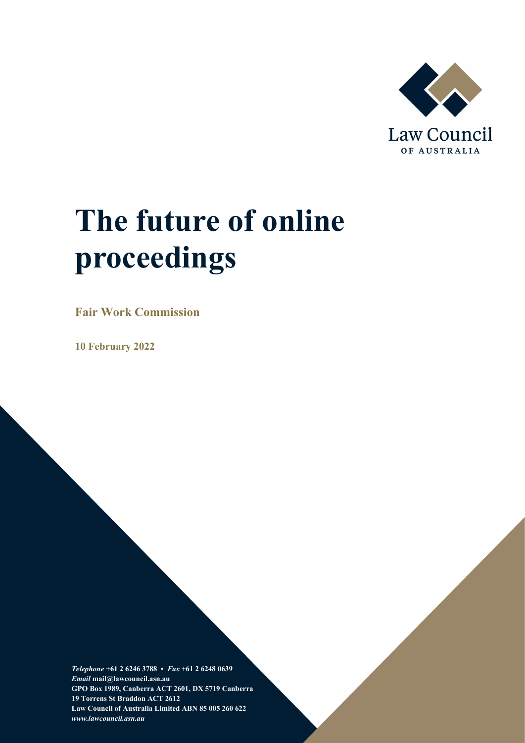

# **The future of online proceedings**

**Fair Work Commission**

**10 February 2022**

*Telephone* **+61 2 6246 3788 •** *Fax* **+61 2 6248 0639**  *Email* **mail@lawcouncil.asn.au GPO Box 1989, Canberra ACT 2601, DX 5719 Canberra 19 Torrens St Braddon ACT 2612 Law Council of Australia Limited ABN 85 005 260 622** *www.lawcouncil.asn.au*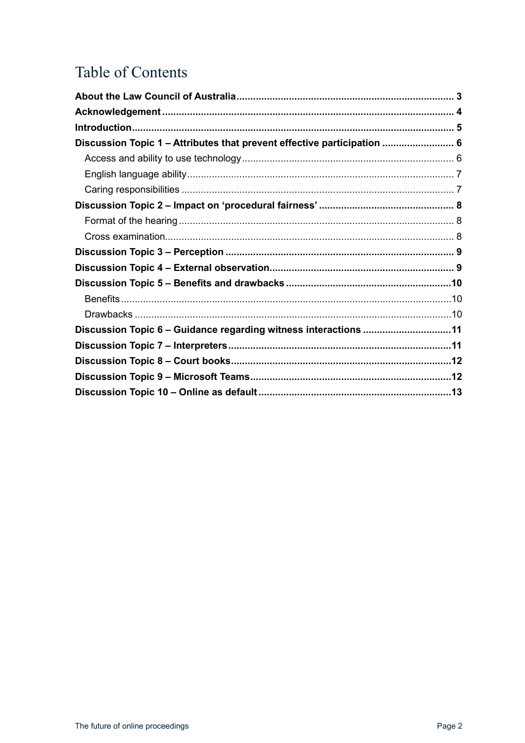## Table of Contents

| Discussion Topic 1 - Attributes that prevent effective participation  6 |  |
|-------------------------------------------------------------------------|--|
|                                                                         |  |
|                                                                         |  |
|                                                                         |  |
|                                                                         |  |
|                                                                         |  |
|                                                                         |  |
|                                                                         |  |
|                                                                         |  |
|                                                                         |  |
|                                                                         |  |
|                                                                         |  |
| Discussion Topic 6 - Guidance regarding witness interactions 11         |  |
|                                                                         |  |
|                                                                         |  |
|                                                                         |  |
|                                                                         |  |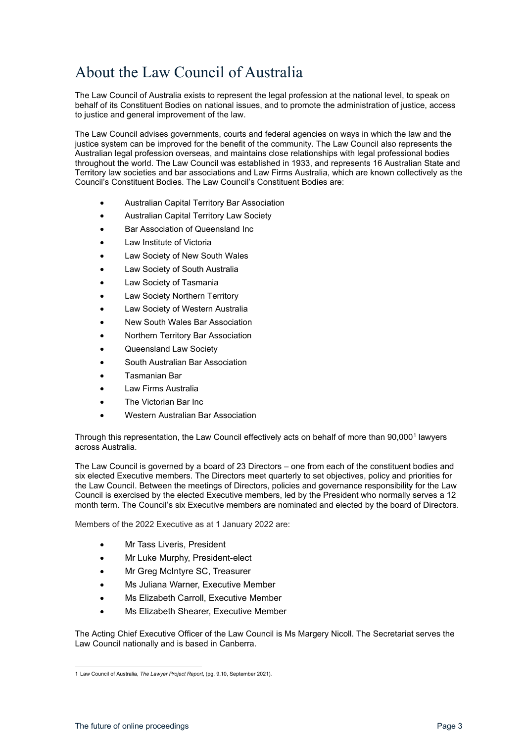## <span id="page-2-0"></span>About the Law Council of Australia

The Law Council of Australia exists to represent the legal profession at the national level, to speak on behalf of its Constituent Bodies on national issues, and to promote the administration of justice, access to justice and general improvement of the law.

The Law Council advises governments, courts and federal agencies on ways in which the law and the justice system can be improved for the benefit of the community. The Law Council also represents the Australian legal profession overseas, and maintains close relationships with legal professional bodies throughout the world. The Law Council was established in 1933, and represents 16 Australian State and Territory law societies and bar associations and Law Firms Australia, which are known collectively as the Council's Constituent Bodies. The Law Council's Constituent Bodies are:

- Australian Capital Territory Bar Association
- Australian Capital Territory Law Society
- Bar Association of Queensland Inc
- Law Institute of Victoria
- Law Society of New South Wales
- Law Society of South Australia
- Law Society of Tasmania
- Law Society Northern Territory
- Law Society of Western Australia
- New South Wales Bar Association
- Northern Territory Bar Association
- Queensland Law Society
- South Australian Bar Association
- Tasmanian Bar
- Law Firms Australia
- The Victorian Bar Inc.
- Western Australian Bar Association

Through this representation, the Law Council effectively acts on behalf of more than 90,000<sup>[1](#page-2-1)</sup> lawyers across Australia.

The Law Council is governed by a board of 23 Directors – one from each of the constituent bodies and six elected Executive members. The Directors meet quarterly to set objectives, policy and priorities for the Law Council. Between the meetings of Directors, policies and governance responsibility for the Law Council is exercised by the elected Executive members, led by the President who normally serves a 12 month term. The Council's six Executive members are nominated and elected by the board of Directors.

Members of the 2022 Executive as at 1 January 2022 are:

- Mr Tass Liveris, President
- Mr Luke Murphy, President-elect
- Mr Greg McIntyre SC, Treasurer
- Ms Juliana Warner, Executive Member
- Ms Elizabeth Carroll, Executive Member
- Ms Elizabeth Shearer, Executive Member

The Acting Chief Executive Officer of the Law Council is Ms Margery Nicoll. The Secretariat serves the Law Council nationally and is based in Canberra.

<span id="page-2-1"></span><sup>1</sup> Law Council of Australia, *The Lawyer Project Report*, (pg. 9,10, September 2021).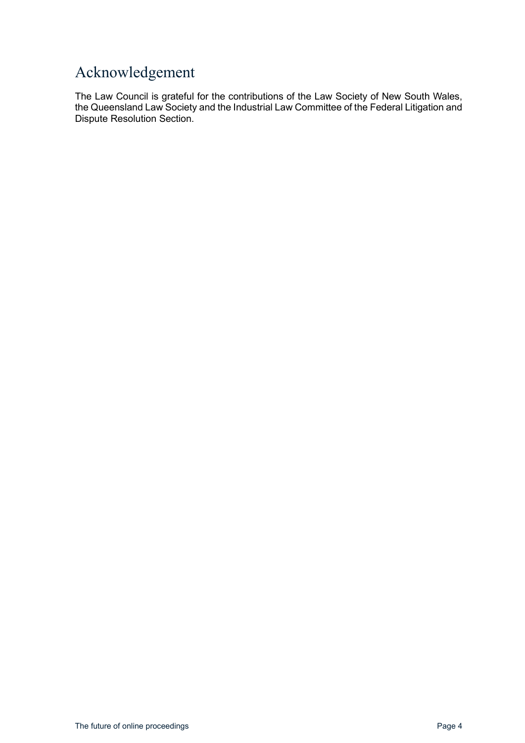#### <span id="page-3-0"></span>Acknowledgement

The Law Council is grateful for the contributions of the Law Society of New South Wales, the Queensland Law Society and the Industrial Law Committee of the Federal Litigation and Dispute Resolution Section.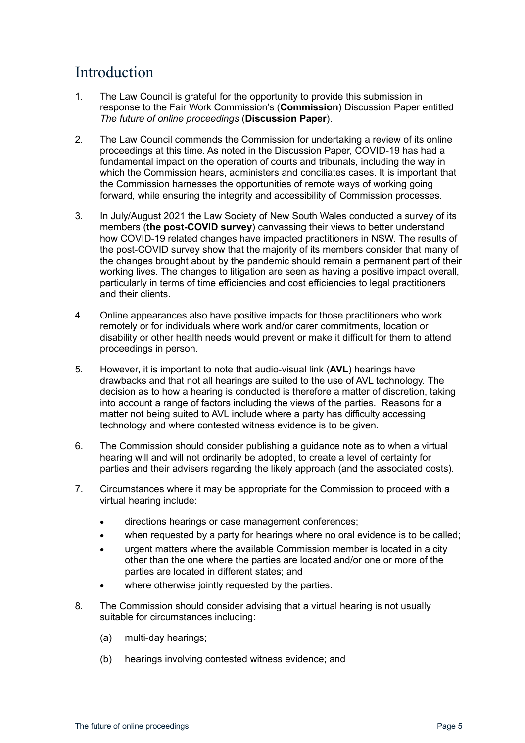#### <span id="page-4-0"></span>Introduction

- 1. The Law Council is grateful for the opportunity to provide this submission in response to the Fair Work Commission's (**Commission**) Discussion Paper entitled *The future of online proceedings* (**Discussion Paper**).
- 2. The Law Council commends the Commission for undertaking a review of its online proceedings at this time. As noted in the Discussion Paper, COVID-19 has had a fundamental impact on the operation of courts and tribunals, including the way in which the Commission hears, administers and conciliates cases. It is important that the Commission harnesses the opportunities of remote ways of working going forward, while ensuring the integrity and accessibility of Commission processes.
- 3. In July/August 2021 the Law Society of New South Wales conducted a survey of its members (**the post-COVID survey**) canvassing their views to better understand how COVID-19 related changes have impacted practitioners in NSW. The results of the post-COVID survey show that the majority of its members consider that many of the changes brought about by the pandemic should remain a permanent part of their working lives. The changes to litigation are seen as having a positive impact overall, particularly in terms of time efficiencies and cost efficiencies to legal practitioners and their clients.
- 4. Online appearances also have positive impacts for those practitioners who work remotely or for individuals where work and/or carer commitments, location or disability or other health needs would prevent or make it difficult for them to attend proceedings in person.
- 5. However, it is important to note that audio-visual link (**AVL**) hearings have drawbacks and that not all hearings are suited to the use of AVL technology. The decision as to how a hearing is conducted is therefore a matter of discretion, taking into account a range of factors including the views of the parties. Reasons for a matter not being suited to AVL include where a party has difficulty accessing technology and where contested witness evidence is to be given.
- 6. The Commission should consider publishing a guidance note as to when a virtual hearing will and will not ordinarily be adopted, to create a level of certainty for parties and their advisers regarding the likely approach (and the associated costs).
- 7. Circumstances where it may be appropriate for the Commission to proceed with a virtual hearing include:
	- directions hearings or case management conferences;
	- when requested by a party for hearings where no oral evidence is to be called;
	- urgent matters where the available Commission member is located in a city other than the one where the parties are located and/or one or more of the parties are located in different states; and
	- where otherwise jointly requested by the parties.
- 8. The Commission should consider advising that a virtual hearing is not usually suitable for circumstances including:
	- (a) multi-day hearings;
	- (b) hearings involving contested witness evidence; and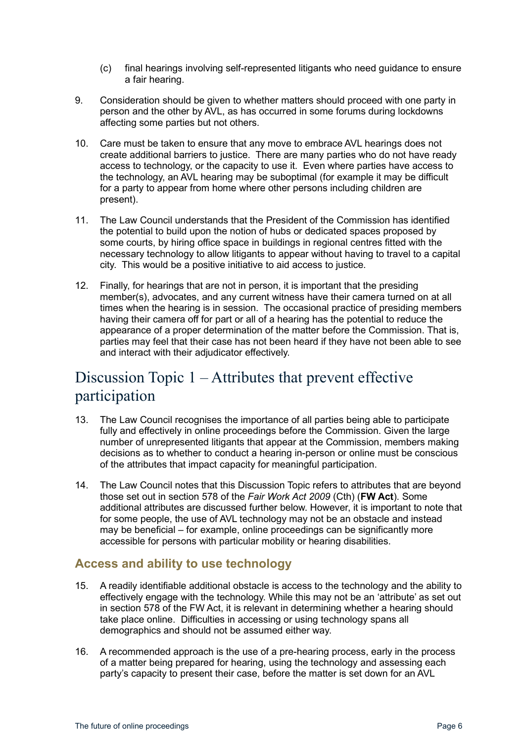- (c) final hearings involving self-represented litigants who need guidance to ensure a fair hearing.
- 9. Consideration should be given to whether matters should proceed with one party in person and the other by AVL, as has occurred in some forums during lockdowns affecting some parties but not others.
- 10. Care must be taken to ensure that any move to embrace AVL hearings does not create additional barriers to justice. There are many parties who do not have ready access to technology, or the capacity to use it. Even where parties have access to the technology, an AVL hearing may be suboptimal (for example it may be difficult for a party to appear from home where other persons including children are present).
- 11. The Law Council understands that the President of the Commission has identified the potential to build upon the notion of hubs or dedicated spaces proposed by some courts, by hiring office space in buildings in regional centres fitted with the necessary technology to allow litigants to appear without having to travel to a capital city. This would be a positive initiative to aid access to justice.
- 12. Finally, for hearings that are not in person, it is important that the presiding member(s), advocates, and any current witness have their camera turned on at all times when the hearing is in session. The occasional practice of presiding members having their camera off for part or all of a hearing has the potential to reduce the appearance of a proper determination of the matter before the Commission. That is, parties may feel that their case has not been heard if they have not been able to see and interact with their adjudicator effectively.

## <span id="page-5-0"></span>Discussion Topic 1 – Attributes that prevent effective participation

- 13. The Law Council recognises the importance of all parties being able to participate fully and effectively in online proceedings before the Commission. Given the large number of unrepresented litigants that appear at the Commission, members making decisions as to whether to conduct a hearing in-person or online must be conscious of the attributes that impact capacity for meaningful participation.
- 14. The Law Council notes that this Discussion Topic refers to attributes that are beyond those set out in section 578 of the *Fair Work Act 2009* (Cth) (**FW Act**). Some additional attributes are discussed further below. However, it is important to note that for some people, the use of AVL technology may not be an obstacle and instead may be beneficial – for example, online proceedings can be significantly more accessible for persons with particular mobility or hearing disabilities.

#### <span id="page-5-1"></span>**Access and ability to use technology**

- 15. A readily identifiable additional obstacle is access to the technology and the ability to effectively engage with the technology. While this may not be an 'attribute' as set out in section 578 of the FW Act, it is relevant in determining whether a hearing should take place online. Difficulties in accessing or using technology spans all demographics and should not be assumed either way.
- 16. A recommended approach is the use of a pre-hearing process, early in the process of a matter being prepared for hearing, using the technology and assessing each party's capacity to present their case, before the matter is set down for an AVL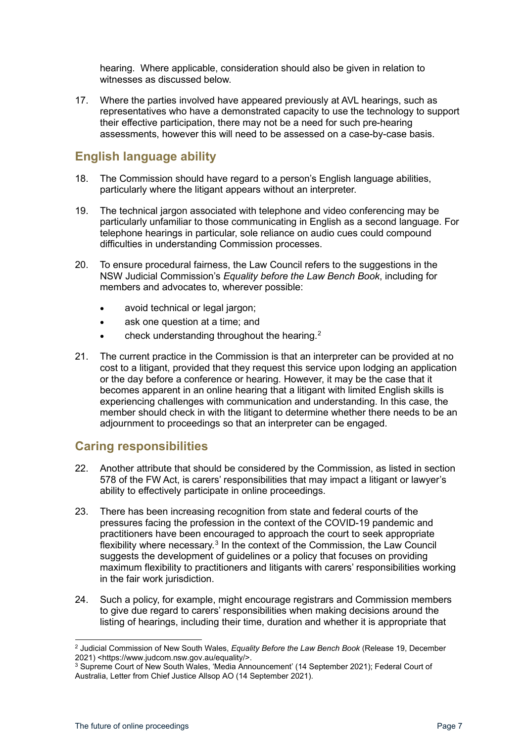hearing. Where applicable, consideration should also be given in relation to witnesses as discussed below.

17. Where the parties involved have appeared previously at AVL hearings, such as representatives who have a demonstrated capacity to use the technology to support their effective participation, there may not be a need for such pre-hearing assessments, however this will need to be assessed on a case-by-case basis.

#### <span id="page-6-0"></span>**English language ability**

- 18. The Commission should have regard to a person's English language abilities, particularly where the litigant appears without an interpreter.
- 19. The technical jargon associated with telephone and video conferencing may be particularly unfamiliar to those communicating in English as a second language. For telephone hearings in particular, sole reliance on audio cues could compound difficulties in understanding Commission processes.
- 20. To ensure procedural fairness, the Law Council refers to the suggestions in the NSW Judicial Commission's *Equality before the Law Bench Book*, including for members and advocates to, wherever possible:
	- avoid technical or legal jargon;
	- ask one question at a time; and
	- check understanding throughout the hearing[.2](#page-6-2)
- 21. The current practice in the Commission is that an interpreter can be provided at no cost to a litigant, provided that they request this service upon lodging an application or the day before a conference or hearing. However, it may be the case that it becomes apparent in an online hearing that a litigant with limited English skills is experiencing challenges with communication and understanding. In this case, the member should check in with the litigant to determine whether there needs to be an adjournment to proceedings so that an interpreter can be engaged.

#### <span id="page-6-1"></span>**Caring responsibilities**

- 22. Another attribute that should be considered by the Commission, as listed in section 578 of the FW Act, is carers' responsibilities that may impact a litigant or lawyer's ability to effectively participate in online proceedings.
- 23. There has been increasing recognition from state and federal courts of the pressures facing the profession in the context of the COVID-19 pandemic and practitioners have been encouraged to approach the court to seek appropriate flexibility where necessary.<sup>[3](#page-6-3)</sup> In the context of the Commission, the Law Council suggests the development of guidelines or a policy that focuses on providing maximum flexibility to practitioners and litigants with carers' responsibilities working in the fair work jurisdiction.
- 24. Such a policy, for example, might encourage registrars and Commission members to give due regard to carers' responsibilities when making decisions around the listing of hearings, including their time, duration and whether it is appropriate that

<span id="page-6-2"></span><sup>2</sup> Judicial Commission of New South Wales, *Equality Before the Law Bench Book* (Release 19, December

<span id="page-6-3"></span><sup>&</sup>lt;sup>3</sup> Supreme Court of New South Wales, 'Media Announcement' (14 September 2021); Federal Court of Australia, Letter from Chief Justice Allsop AO (14 September 2021).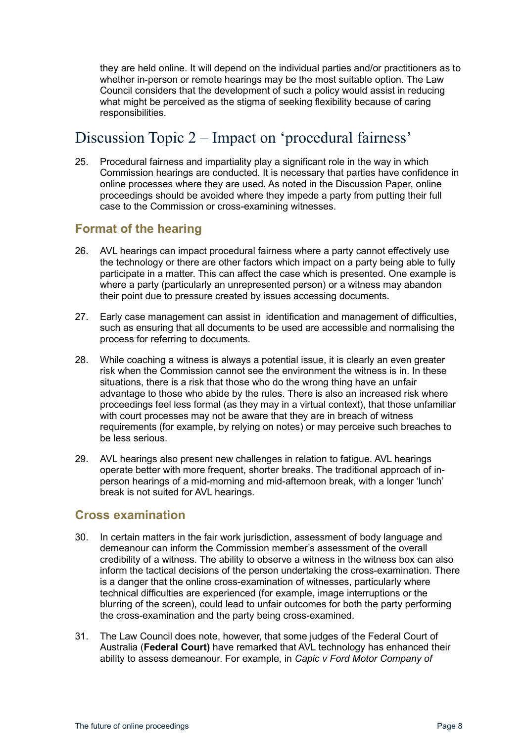they are held online. It will depend on the individual parties and/or practitioners as to whether in-person or remote hearings may be the most suitable option. The Law Council considers that the development of such a policy would assist in reducing what might be perceived as the stigma of seeking flexibility because of caring responsibilities.

## <span id="page-7-0"></span>Discussion Topic 2 – Impact on 'procedural fairness'

25. Procedural fairness and impartiality play a significant role in the way in which Commission hearings are conducted. It is necessary that parties have confidence in online processes where they are used. As noted in the Discussion Paper, online proceedings should be avoided where they impede a party from putting their full case to the Commission or cross-examining witnesses.

#### <span id="page-7-1"></span>**Format of the hearing**

- 26. AVL hearings can impact procedural fairness where a party cannot effectively use the technology or there are other factors which impact on a party being able to fully participate in a matter. This can affect the case which is presented. One example is where a party (particularly an unrepresented person) or a witness may abandon their point due to pressure created by issues accessing documents.
- 27. Early case management can assist in identification and management of difficulties, such as ensuring that all documents to be used are accessible and normalising the process for referring to documents.
- 28. While coaching a witness is always a potential issue, it is clearly an even greater risk when the Commission cannot see the environment the witness is in. In these situations, there is a risk that those who do the wrong thing have an unfair advantage to those who abide by the rules. There is also an increased risk where proceedings feel less formal (as they may in a virtual context), that those unfamiliar with court processes may not be aware that they are in breach of witness requirements (for example, by relying on notes) or may perceive such breaches to be less serious.
- 29. AVL hearings also present new challenges in relation to fatigue. AVL hearings operate better with more frequent, shorter breaks. The traditional approach of inperson hearings of a mid-morning and mid-afternoon break, with a longer 'lunch' break is not suited for AVL hearings.

#### <span id="page-7-2"></span>**Cross examination**

- 30. In certain matters in the fair work jurisdiction, assessment of body language and demeanour can inform the Commission member's assessment of the overall credibility of a witness. The ability to observe a witness in the witness box can also inform the tactical decisions of the person undertaking the cross-examination. There is a danger that the online cross-examination of witnesses, particularly where technical difficulties are experienced (for example, image interruptions or the blurring of the screen), could lead to unfair outcomes for both the party performing the cross-examination and the party being cross-examined.
- 31. The Law Council does note, however, that some judges of the Federal Court of Australia (**Federal Court)** have remarked that AVL technology has enhanced their ability to assess demeanour. For example, in *Capic v Ford Motor Company of*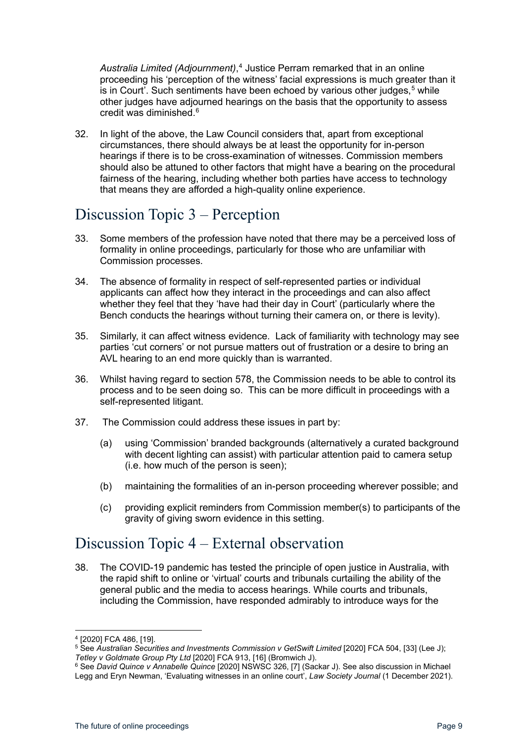*Australia Limited (Adjournment)*, [4](#page-8-2) Justice Perram remarked that in an online proceeding his 'perception of the witness' facial expressions is much greater than it is in Court'. Such sentiments have been echoed by various other judges,<sup>[5](#page-8-3)</sup> while other judges have adjourned hearings on the basis that the opportunity to assess credit was diminished.[6](#page-8-4)

32. In light of the above, the Law Council considers that, apart from exceptional circumstances, there should always be at least the opportunity for in-person hearings if there is to be cross-examination of witnesses. Commission members should also be attuned to other factors that might have a bearing on the procedural fairness of the hearing, including whether both parties have access to technology that means they are afforded a high-quality online experience.

## <span id="page-8-0"></span>Discussion Topic 3 – Perception

- 33. Some members of the profession have noted that there may be a perceived loss of formality in online proceedings, particularly for those who are unfamiliar with Commission processes.
- 34. The absence of formality in respect of self-represented parties or individual applicants can affect how they interact in the proceedings and can also affect whether they feel that they 'have had their day in Court' (particularly where the Bench conducts the hearings without turning their camera on, or there is levity).
- 35. Similarly, it can affect witness evidence. Lack of familiarity with technology may see parties 'cut corners' or not pursue matters out of frustration or a desire to bring an AVL hearing to an end more quickly than is warranted.
- 36. Whilst having regard to section 578, the Commission needs to be able to control its process and to be seen doing so. This can be more difficult in proceedings with a self-represented litigant.
- 37. The Commission could address these issues in part by:
	- (a) using 'Commission' branded backgrounds (alternatively a curated background with decent lighting can assist) with particular attention paid to camera setup (i.e. how much of the person is seen);
	- (b) maintaining the formalities of an in-person proceeding wherever possible; and
	- (c) providing explicit reminders from Commission member(s) to participants of the gravity of giving sworn evidence in this setting.

## <span id="page-8-1"></span>Discussion Topic 4 – External observation

38. The COVID-19 pandemic has tested the principle of open justice in Australia, with the rapid shift to online or 'virtual' courts and tribunals curtailing the ability of the general public and the media to access hearings. While courts and tribunals, including the Commission, have responded admirably to introduce ways for the

<span id="page-8-2"></span><sup>4</sup> [2020] FCA 486, [19].

<span id="page-8-3"></span><sup>5</sup> See Australian Securities and Investments Commission v GetSwift Limited [2020] FCA 504, [33] (Lee J);<br>Tetley v Goldmate Group Pty Ltd [2020] FCA 913, [16] (Bromwich J).

<span id="page-8-4"></span><sup>&</sup>lt;sup>6</sup> See David Quince v Annabelle Quince [2020] NSWSC 326, [7] (Sackar J). See also discussion in Michael Legg and Eryn Newman, 'Evaluating witnesses in an online court', *Law Society Journal* (1 December 2021).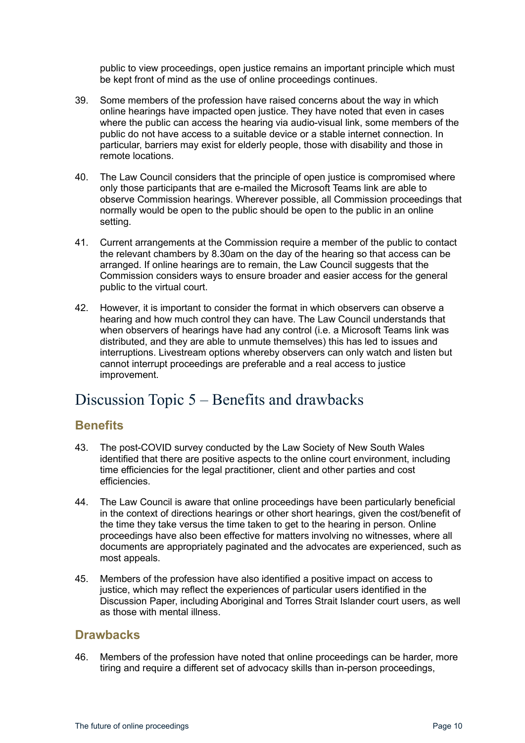public to view proceedings, open justice remains an important principle which must be kept front of mind as the use of online proceedings continues.

- 39. Some members of the profession have raised concerns about the way in which online hearings have impacted open justice. They have noted that even in cases where the public can access the hearing via audio-visual link, some members of the public do not have access to a suitable device or a stable internet connection. In particular, barriers may exist for elderly people, those with disability and those in remote locations.
- 40. The Law Council considers that the principle of open justice is compromised where only those participants that are e-mailed the Microsoft Teams link are able to observe Commission hearings. Wherever possible, all Commission proceedings that normally would be open to the public should be open to the public in an online setting.
- 41. Current arrangements at the Commission require a member of the public to contact the relevant chambers by 8.30am on the day of the hearing so that access can be arranged. If online hearings are to remain, the Law Council suggests that the Commission considers ways to ensure broader and easier access for the general public to the virtual court.
- 42. However, it is important to consider the format in which observers can observe a hearing and how much control they can have. The Law Council understands that when observers of hearings have had any control (i.e. a Microsoft Teams link was distributed, and they are able to unmute themselves) this has led to issues and interruptions. Livestream options whereby observers can only watch and listen but cannot interrupt proceedings are preferable and a real access to justice improvement.

#### <span id="page-9-0"></span>Discussion Topic 5 – Benefits and drawbacks

#### <span id="page-9-1"></span>**Benefits**

- 43. The post-COVID survey conducted by the Law Society of New South Wales identified that there are positive aspects to the online court environment, including time efficiencies for the legal practitioner, client and other parties and cost efficiencies.
- 44. The Law Council is aware that online proceedings have been particularly beneficial in the context of directions hearings or other short hearings, given the cost/benefit of the time they take versus the time taken to get to the hearing in person. Online proceedings have also been effective for matters involving no witnesses, where all documents are appropriately paginated and the advocates are experienced, such as most appeals.
- 45. Members of the profession have also identified a positive impact on access to justice, which may reflect the experiences of particular users identified in the Discussion Paper, including Aboriginal and Torres Strait Islander court users, as well as those with mental illness.

#### <span id="page-9-2"></span>**Drawbacks**

46. Members of the profession have noted that online proceedings can be harder, more tiring and require a different set of advocacy skills than in-person proceedings,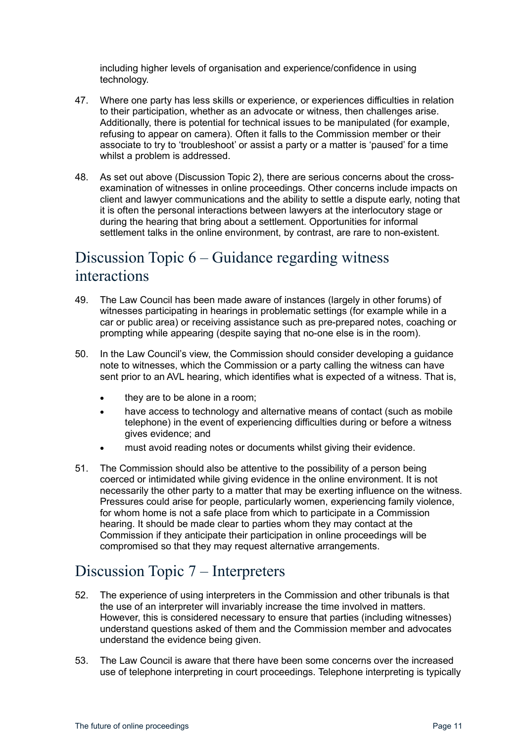including higher levels of organisation and experience/confidence in using technology.

- 47. Where one party has less skills or experience, or experiences difficulties in relation to their participation, whether as an advocate or witness, then challenges arise. Additionally, there is potential for technical issues to be manipulated (for example, refusing to appear on camera). Often it falls to the Commission member or their associate to try to 'troubleshoot' or assist a party or a matter is 'paused' for a time whilst a problem is addressed.
- 48. As set out above (Discussion Topic 2), there are serious concerns about the crossexamination of witnesses in online proceedings. Other concerns include impacts on client and lawyer communications and the ability to settle a dispute early, noting that it is often the personal interactions between lawyers at the interlocutory stage or during the hearing that bring about a settlement. Opportunities for informal settlement talks in the online environment, by contrast, are rare to non-existent.

## <span id="page-10-0"></span>Discussion Topic 6 – Guidance regarding witness interactions

- 49. The Law Council has been made aware of instances (largely in other forums) of witnesses participating in hearings in problematic settings (for example while in a car or public area) or receiving assistance such as pre-prepared notes, coaching or prompting while appearing (despite saying that no-one else is in the room).
- 50. In the Law Council's view, the Commission should consider developing a guidance note to witnesses, which the Commission or a party calling the witness can have sent prior to an AVL hearing, which identifies what is expected of a witness. That is,
	- they are to be alone in a room;
	- have access to technology and alternative means of contact (such as mobile telephone) in the event of experiencing difficulties during or before a witness gives evidence; and
	- must avoid reading notes or documents whilst giving their evidence.
- 51. The Commission should also be attentive to the possibility of a person being coerced or intimidated while giving evidence in the online environment. It is not necessarily the other party to a matter that may be exerting influence on the witness. Pressures could arise for people, particularly women, experiencing family violence, for whom home is not a safe place from which to participate in a Commission hearing. It should be made clear to parties whom they may contact at the Commission if they anticipate their participation in online proceedings will be compromised so that they may request alternative arrangements.

#### <span id="page-10-1"></span>Discussion Topic 7 – Interpreters

- 52. The experience of using interpreters in the Commission and other tribunals is that the use of an interpreter will invariably increase the time involved in matters. However, this is considered necessary to ensure that parties (including witnesses) understand questions asked of them and the Commission member and advocates understand the evidence being given.
- 53. The Law Council is aware that there have been some concerns over the increased use of telephone interpreting in court proceedings. Telephone interpreting is typically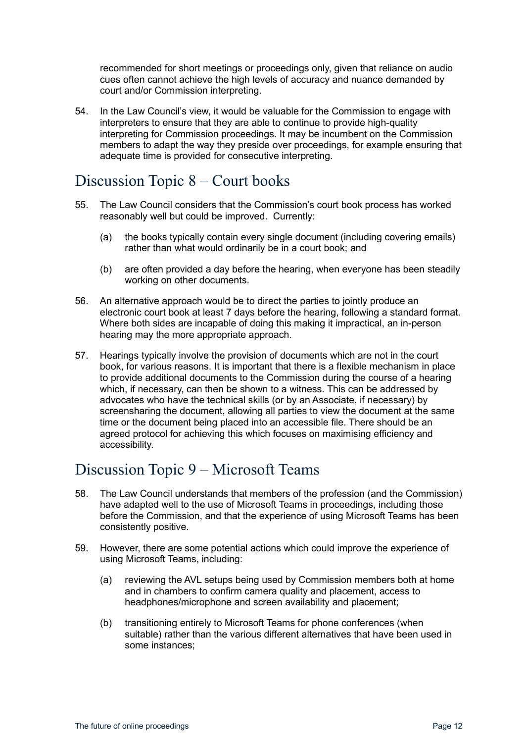recommended for short meetings or proceedings only, given that reliance on audio cues often cannot achieve the high levels of accuracy and nuance demanded by court and/or Commission interpreting.

54. In the Law Council's view, it would be valuable for the Commission to engage with interpreters to ensure that they are able to continue to provide high-quality interpreting for Commission proceedings. It may be incumbent on the Commission members to adapt the way they preside over proceedings, for example ensuring that adequate time is provided for consecutive interpreting.

#### <span id="page-11-0"></span>Discussion Topic 8 – Court books

- 55. The Law Council considers that the Commission's court book process has worked reasonably well but could be improved. Currently:
	- (a) the books typically contain every single document (including covering emails) rather than what would ordinarily be in a court book; and
	- (b) are often provided a day before the hearing, when everyone has been steadily working on other documents.
- 56. An alternative approach would be to direct the parties to jointly produce an electronic court book at least 7 days before the hearing, following a standard format. Where both sides are incapable of doing this making it impractical, an in-person hearing may the more appropriate approach.
- 57. Hearings typically involve the provision of documents which are not in the court book, for various reasons. It is important that there is a flexible mechanism in place to provide additional documents to the Commission during the course of a hearing which, if necessary, can then be shown to a witness. This can be addressed by advocates who have the technical skills (or by an Associate, if necessary) by screensharing the document, allowing all parties to view the document at the same time or the document being placed into an accessible file. There should be an agreed protocol for achieving this which focuses on maximising efficiency and accessibility.

## <span id="page-11-1"></span>Discussion Topic 9 – Microsoft Teams

- 58. The Law Council understands that members of the profession (and the Commission) have adapted well to the use of Microsoft Teams in proceedings, including those before the Commission, and that the experience of using Microsoft Teams has been consistently positive.
- 59. However, there are some potential actions which could improve the experience of using Microsoft Teams, including:
	- (a) reviewing the AVL setups being used by Commission members both at home and in chambers to confirm camera quality and placement, access to headphones/microphone and screen availability and placement;
	- (b) transitioning entirely to Microsoft Teams for phone conferences (when suitable) rather than the various different alternatives that have been used in some instances;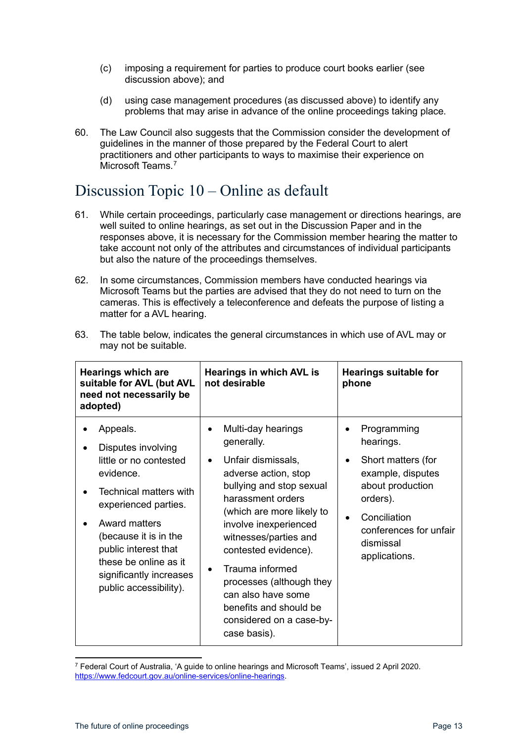- (c) imposing a requirement for parties to produce court books earlier (see discussion above); and
- (d) using case management procedures (as discussed above) to identify any problems that may arise in advance of the online proceedings taking place.
- 60. The Law Council also suggests that the Commission consider the development of guidelines in the manner of those prepared by the Federal Court to alert practitioners and other participants to ways to maximise their experience on Microsoft Teams<sup>[7](#page-12-1)</sup>

#### <span id="page-12-0"></span>Discussion Topic 10 – Online as default

- 61. While certain proceedings, particularly case management or directions hearings, are well suited to online hearings, as set out in the Discussion Paper and in the responses above, it is necessary for the Commission member hearing the matter to take account not only of the attributes and circumstances of individual participants but also the nature of the proceedings themselves.
- 62. In some circumstances, Commission members have conducted hearings via Microsoft Teams but the parties are advised that they do not need to turn on the cameras. This is effectively a teleconference and defeats the purpose of listing a matter for a AVL hearing.

| <b>Hearings which are</b><br>suitable for AVL (but AVL<br>need not necessarily be<br>adopted)                                                                                                                                                                                  | Hearings in which AVL is<br>not desirable                                                                                                                                                                                                                                                                                                                                         | <b>Hearings suitable for</b><br>phone                                                                                                                                            |
|--------------------------------------------------------------------------------------------------------------------------------------------------------------------------------------------------------------------------------------------------------------------------------|-----------------------------------------------------------------------------------------------------------------------------------------------------------------------------------------------------------------------------------------------------------------------------------------------------------------------------------------------------------------------------------|----------------------------------------------------------------------------------------------------------------------------------------------------------------------------------|
| Appeals.<br>Disputes involving<br>little or no contested<br>evidence.<br>Technical matters with<br>experienced parties.<br><b>Award matters</b><br>(because it is in the<br>public interest that<br>these be online as it<br>significantly increases<br>public accessibility). | Multi-day hearings<br>generally.<br>Unfair dismissals,<br>adverse action, stop<br>bullying and stop sexual<br>harassment orders<br>(which are more likely to<br>involve inexperienced<br>witnesses/parties and<br>contested evidence).<br>Trauma informed<br>processes (although they<br>can also have some<br>benefits and should be<br>considered on a case-by-<br>case basis). | Programming<br>hearings.<br>Short matters (for<br>٠<br>example, disputes<br>about production<br>orders).<br>Conciliation<br>conferences for unfair<br>dismissal<br>applications. |

63. The table below, indicates the general circumstances in which use of AVL may or may not be suitable.

<span id="page-12-1"></span><sup>7</sup> Federal Court of Australia, 'A guide to online hearings and Microsoft Teams', issued 2 April 2020. [https://www.fedcourt.gov.au/online-services/online-hearings.](https://www.fedcourt.gov.au/online-services/online-hearings)